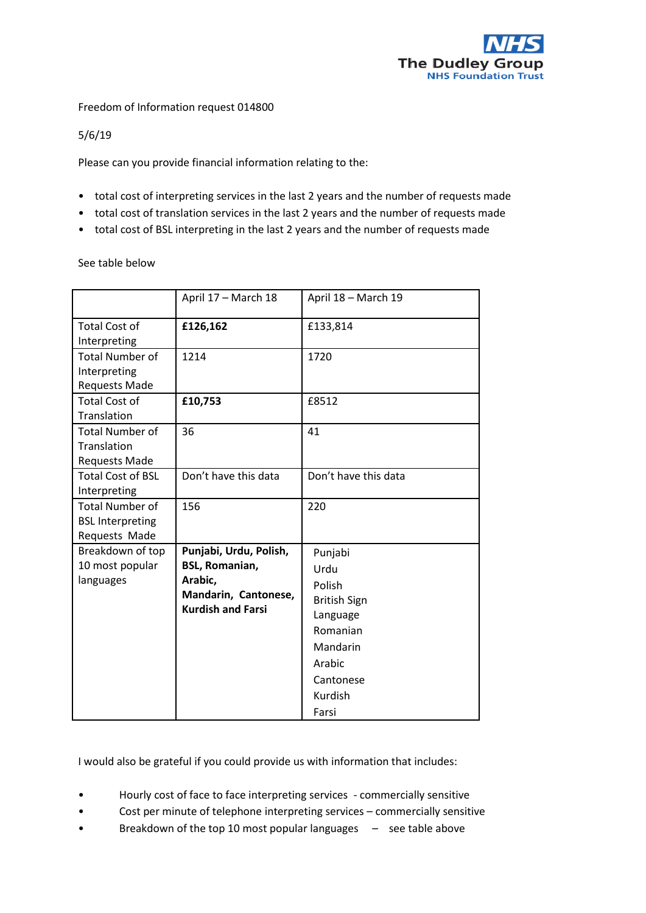

Freedom of Information request 014800

5/6/19

Please can you provide financial information relating to the:

- total cost of interpreting services in the last 2 years and the number of requests made
- total cost of translation services in the last 2 years and the number of requests made
- total cost of BSL interpreting in the last 2 years and the number of requests made

See table below

|                                                                    | April 17 - March 18                                                                                            | April 18 - March 19                                                                                                             |
|--------------------------------------------------------------------|----------------------------------------------------------------------------------------------------------------|---------------------------------------------------------------------------------------------------------------------------------|
| <b>Total Cost of</b><br>Interpreting                               | £126,162                                                                                                       | £133,814                                                                                                                        |
| <b>Total Number of</b><br>Interpreting<br><b>Requests Made</b>     | 1214                                                                                                           | 1720                                                                                                                            |
| <b>Total Cost of</b><br>Translation                                | £10,753                                                                                                        | £8512                                                                                                                           |
| <b>Total Number of</b><br>Translation<br><b>Requests Made</b>      | 36                                                                                                             | 41                                                                                                                              |
| <b>Total Cost of BSL</b><br>Interpreting                           | Don't have this data                                                                                           | Don't have this data                                                                                                            |
| <b>Total Number of</b><br><b>BSL Interpreting</b><br>Requests Made | 156                                                                                                            | 220                                                                                                                             |
| Breakdown of top<br>10 most popular<br>languages                   | Punjabi, Urdu, Polish,<br><b>BSL, Romanian,</b><br>Arabic,<br>Mandarin, Cantonese,<br><b>Kurdish and Farsi</b> | Punjabi<br>Urdu<br>Polish<br><b>British Sign</b><br>Language<br>Romanian<br>Mandarin<br>Arabic<br>Cantonese<br>Kurdish<br>Farsi |

I would also be grateful if you could provide us with information that includes:

- Hourly cost of face to face interpreting services commercially sensitive
- Cost per minute of telephone interpreting services commercially sensitive
- Breakdown of the top 10 most popular languages see table above